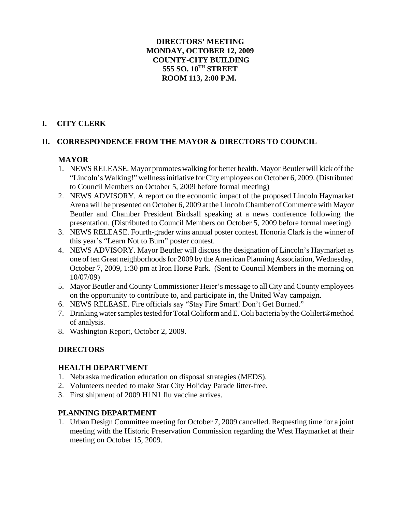## **DIRECTORS' MEETING MONDAY, OCTOBER 12, 2009 COUNTY-CITY BUILDING 555 SO. 10TH STREET ROOM 113, 2:00 P.M.**

# **I. CITY CLERK**

# **II. CORRESPONDENCE FROM THE MAYOR & DIRECTORS TO COUNCIL**

# **MAYOR**

- 1. NEWS RELEASE. Mayor promotes walking for better health. Mayor Beutler will kick off the "Lincoln's Walking!" wellness initiative for City employees on October 6, 2009. (Distributed to Council Members on October 5, 2009 before formal meeting)
- 2. NEWS ADVISORY. A report on the economic impact of the proposed Lincoln Haymarket Arena will be presented on October 6, 2009 at the Lincoln Chamber of Commerce with Mayor Beutler and Chamber President Birdsall speaking at a news conference following the presentation. (Distributed to Council Members on October 5, 2009 before formal meeting)
- 3. NEWS RELEASE. Fourth-grader wins annual poster contest. Honoria Clark is the winner of this year's "Learn Not to Burn" poster contest.
- 4. NEWS ADVISORY. Mayor Beutler will discuss the designation of Lincoln's Haymarket as one of ten Great neighborhoods for 2009 by the American Planning Association, Wednesday, October 7, 2009, 1:30 pm at Iron Horse Park. (Sent to Council Members in the morning on 10/07/09)
- 5. Mayor Beutler and County Commissioner Heier's message to all City and County employees on the opportunity to contribute to, and participate in, the United Way campaign.
- 6. NEWS RELEASE. Fire officials say "Stay Fire Smart! Don't Get Burned."
- 7. Drinking water samples tested for Total Coliform and E. Coli bacteria by the Colilert®method of analysis.
- 8. Washington Report, October 2, 2009.

## **DIRECTORS**

## **HEALTH DEPARTMENT**

- 1. Nebraska medication education on disposal strategies (MEDS).
- 2. Volunteers needed to make Star City Holiday Parade litter-free.
- 3. First shipment of 2009 H1N1 flu vaccine arrives.

## **PLANNING DEPARTMENT**

1. Urban Design Committee meeting for October 7, 2009 cancelled. Requesting time for a joint meeting with the Historic Preservation Commission regarding the West Haymarket at their meeting on October 15, 2009.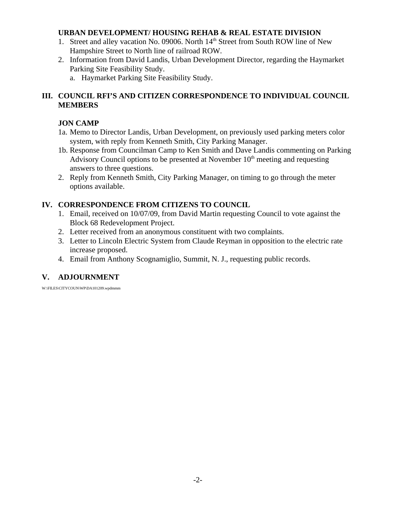### **URBAN DEVELOPMENT/ HOUSING REHAB & REAL ESTATE DIVISION**

- 1. Street and alley vacation No. 09006. North 14<sup>th</sup> Street from South ROW line of New Hampshire Street to North line of railroad ROW.
- 2. Information from David Landis, Urban Development Director, regarding the Haymarket Parking Site Feasibility Study.
	- a. Haymarket Parking Site Feasibility Study.

# **III. COUNCIL RFI'S AND CITIZEN CORRESPONDENCE TO INDIVIDUAL COUNCIL MEMBERS**

## **JON CAMP**

- 1a. Memo to Director Landis, Urban Development, on previously used parking meters color system, with reply from Kenneth Smith, City Parking Manager.
- 1b. Response from Councilman Camp to Ken Smith and Dave Landis commenting on Parking Advisory Council options to be presented at November  $10<sup>th</sup>$  meeting and requesting answers to three questions.
- 2. Reply from Kenneth Smith, City Parking Manager, on timing to go through the meter options available.

## **IV. CORRESPONDENCE FROM CITIZENS TO COUNCIL**

- 1. Email, received on 10/07/09, from David Martin requesting Council to vote against the Block 68 Redevelopment Project.
- 2. Letter received from an anonymous constituent with two complaints.
- 3. Letter to Lincoln Electric System from Claude Reyman in opposition to the electric rate increase proposed.
- 4. Email from Anthony Scognamiglio, Summit, N. J., requesting public records.

# **V. ADJOURNMENT**

W:\FILES\CITYCOUN\WP\DA101209.wpdmmm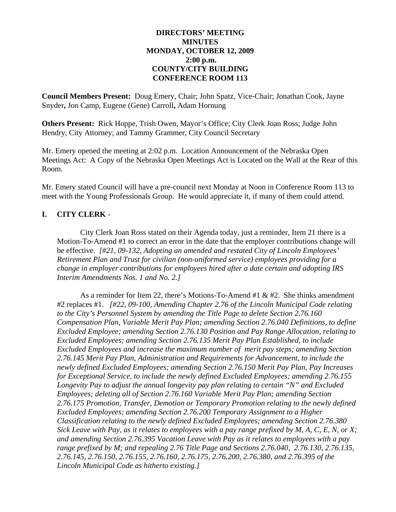## **DIRECTORS' MEETING MINUTES MONDAY, OCTOBER 12, 2009 2:00 p.m. COUNTY/CITY BUILDING CONFERENCE ROOM 113**

**Council Members Present:** Doug Emery, Chair; John Spatz, Vice-Chair; Jonathan Cook, Jayne Snyder**,** Jon Camp, Eugene (Gene) Carroll**,** Adam Hornung

**Others Present:** Rick Hoppe, Trish Owen, Mayor's Office; City Clerk Joan Ross; Judge John Hendry, City Attorney; and Tammy Grammer, City Council Secretary

Mr. Emery opened the meeting at 2:02 p.m. Location Announcement of the Nebraska Open Meetings Act: A Copy of the Nebraska Open Meetings Act is Located on the Wall at the Rear of this Room.

Mr. Emery stated Council will have a pre-council next Monday at Noon in Conference Room 113 to meet with the Young Professionals Group. He would appreciate it, if many of them could attend.

# **I. CITY CLERK** -

City Clerk Joan Ross stated on their Agenda today, just a reminder, Item 21 there is a Motion-To-Amend #1 to correct an error in the date that the employer contributions change will be effective. *[#21, 09-132, Adopting an amended and restated City of Lincoln Employees' Retirement Plan and Trust for civilian (non-uniformed service) employees providing for a change in employer contributions for employees hired after a date certain and adopting IRS Interim Amendments Nos. 1 and No. 2.]*

As a reminder for Item 22, there's Motions-To-Amend #1 & #2. She thinks amendment #2 replaces #1. *[#22, 09-100, Amending Chapter 2.76 of the Lincoln Municipal Code relating to the City's Personnel System by amending the Title Page to delete Section 2.76.160 Compensation Plan, Variable Merit Pay Plan; amending Section 2.76.040 Definitions, to define Excluded Employee; amending Section 2.76.130 Position and Pay Range Allocation, relating to Excluded Employees; amending Section 2.76.135 Merit Pay Plan Established, to include Excluded Employees and increase the maximum number of merit pay steps; amending Section 2.76.145 Merit Pay Plan, Administration and Requirements for Advancement, to include the newly defined Excluded Employees; amending Section 2.76.150 Merit Pay Plan, Pay Increases for Exceptional Service, to include the newly defined Excluded Employees; amending 2.76.155 Longevity Pay to adjust the annual longevity pay plan relating to certain "N" and Excluded Employees; deleting all of Section 2.76.160 Variable Merit Pay Plan; amending Section 2.76.175 Promotion, Transfer, Demotion or Temporary Promotion relating to the newly defined Excluded Employees; amending Section 2.76.200 Temporary Assignment to a Higher Classification relating to the newly defined Excluded Employees; amending Section 2.76.380 Sick Leave with Pay, as it relates to employees with a pay range prefixed by M, A, C, E, N, or X; and amending Section 2.76.395 Vacation Leave with Pay as it relates to employees with a pay range prefixed by M; and repealing 2.76 Title Page and Sections 2.76.040, 2.76.130, 2.76.135, 2.76.145, 2.76.150, 2.76.155, 2.76.160, 2.76.175, 2.76.200, 2.76.380, and 2.76.395 of the Lincoln Municipal Code as hitherto existing.]*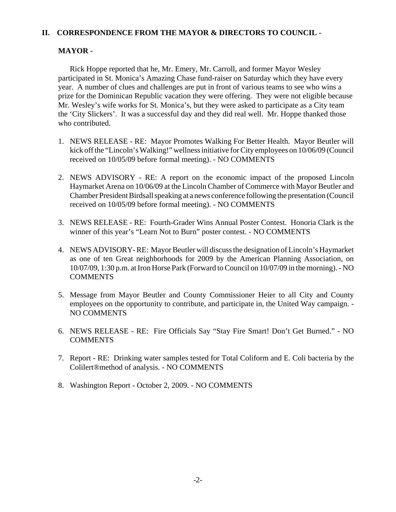#### **II. CORRESPONDENCE FROM THE MAYOR & DIRECTORS TO COUNCIL -**

#### **MAYOR -**

Rick Hoppe reported that he, Mr. Emery, Mr. Carroll, and former Mayor Wesley participated in St. Monica's Amazing Chase fund-raiser on Saturday which they have every year. A number of clues and challenges are put in front of various teams to see who wins a prize for the Dominican Republic vacation they were offering. They were not eligible because Mr. Wesley's wife works for St. Monica's, but they were asked to participate as a City team the 'City Slickers'. It was a successful day and they did real well. Mr. Hoppe thanked those who contributed.

- 1. NEWS RELEASE RE: Mayor Promotes Walking For Better Health. Mayor Beutler will kick off the "Lincoln's Walking!" wellness initiative for City employees on 10/06/09 (Council received on 10/05/09 before formal meeting). - NO COMMENTS
- 2. NEWS ADVISORY RE: A report on the economic impact of the proposed Lincoln Haymarket Arena on 10/06/09 at the Lincoln Chamber of Commerce with Mayor Beutler and Chamber President Birdsall speaking at a news conference following the presentation (Council received on 10/05/09 before formal meeting). - NO COMMENTS
- 3. NEWS RELEASE RE: Fourth-Grader Wins Annual Poster Contest. Honoria Clark is the winner of this year's "Learn Not to Burn" poster contest. - NO COMMENTS
- 4. NEWS ADVISORY- RE: Mayor Beutler will discuss the designation of Lincoln's Haymarket as one of ten Great neighborhoods for 2009 by the American Planning Association, on 10/07/09, 1:30 p.m. at Iron Horse Park (Forward to Council on 10/07/09 in the morning). - NO **COMMENTS**
- 5. Message from Mayor Beutler and County Commissioner Heier to all City and County employees on the opportunity to contribute, and participate in, the United Way campaign. - NO COMMENTS
- 6. NEWS RELEASE RE: Fire Officials Say "Stay Fire Smart! Don't Get Burned." NO **COMMENTS**
- 7. Report RE: Drinking water samples tested for Total Coliform and E. Coli bacteria by the Colilert®method of analysis. - NO COMMENTS
- 8. Washington Report October 2, 2009. NO COMMENTS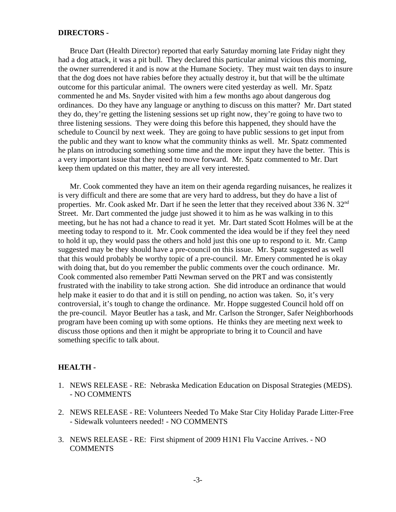#### **DIRECTORS -**

Bruce Dart (Health Director) reported that early Saturday morning late Friday night they had a dog attack, it was a pit bull. They declared this particular animal vicious this morning, the owner surrendered it and is now at the Humane Society. They must wait ten days to insure that the dog does not have rabies before they actually destroy it, but that will be the ultimate outcome for this particular animal. The owners were cited yesterday as well. Mr. Spatz commented he and Ms. Snyder visited with him a few months ago about dangerous dog ordinances. Do they have any language or anything to discuss on this matter? Mr. Dart stated they do, they're getting the listening sessions set up right now, they're going to have two to three listening sessions. They were doing this before this happened, they should have the schedule to Council by next week. They are going to have public sessions to get input from the public and they want to know what the community thinks as well. Mr. Spatz commented he plans on introducing something some time and the more input they have the better. This is a very important issue that they need to move forward. Mr. Spatz commented to Mr. Dart keep them updated on this matter, they are all very interested.

 Mr. Cook commented they have an item on their agenda regarding nuisances, he realizes it is very difficult and there are some that are very hard to address, but they do have a list of properties. Mr. Cook asked Mr. Dart if he seen the letter that they received about  $336$  N.  $32<sup>nd</sup>$ Street. Mr. Dart commented the judge just showed it to him as he was walking in to this meeting, but he has not had a chance to read it yet. Mr. Dart stated Scott Holmes will be at the meeting today to respond to it. Mr. Cook commented the idea would be if they feel they need to hold it up, they would pass the others and hold just this one up to respond to it. Mr. Camp suggested may be they should have a pre-council on this issue. Mr. Spatz suggested as well that this would probably be worthy topic of a pre-council. Mr. Emery commented he is okay with doing that, but do you remember the public comments over the couch ordinance. Mr. Cook commented also remember Patti Newman served on the PRT and was consistently frustrated with the inability to take strong action. She did introduce an ordinance that would help make it easier to do that and it is still on pending, no action was taken. So, it's very controversial, it's tough to change the ordinance. Mr. Hoppe suggested Council hold off on the pre-council. Mayor Beutler has a task, and Mr. Carlson the Stronger, Safer Neighborhoods program have been coming up with some options. He thinks they are meeting next week to discuss those options and then it might be appropriate to bring it to Council and have something specific to talk about.

#### **HEALTH -**

- 1. NEWS RELEASE RE: Nebraska Medication Education on Disposal Strategies (MEDS). - NO COMMENTS
- 2. NEWS RELEASE RE: Volunteers Needed To Make Star City Holiday Parade Litter-Free - Sidewalk volunteers needed! - NO COMMENTS
- 3. NEWS RELEASE RE: First shipment of 2009 H1N1 Flu Vaccine Arrives. NO **COMMENTS**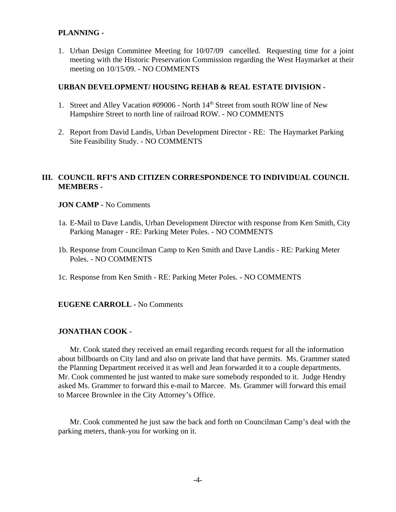### **PLANNING -**

1. Urban Design Committee Meeting for 10/07/09 cancelled. Requesting time for a joint meeting with the Historic Preservation Commission regarding the West Haymarket at their meeting on 10/15/09. - NO COMMENTS

#### **URBAN DEVELOPMENT/ HOUSING REHAB & REAL ESTATE DIVISION -**

- 1. Street and Alley Vacation #09006 North 14<sup>th</sup> Street from south ROW line of New Hampshire Street to north line of railroad ROW. - NO COMMENTS
- 2. Report from David Landis, Urban Development Director RE: The Haymarket Parking Site Feasibility Study. - NO COMMENTS

## **III. COUNCIL RFI'S AND CITIZEN CORRESPONDENCE TO INDIVIDUAL COUNCIL MEMBERS -**

#### **JON CAMP -** No Comments

- 1a. E-Mail to Dave Landis, Urban Development Director with response from Ken Smith, City Parking Manager - RE: Parking Meter Poles. - NO COMMENTS
- 1b. Response from Councilman Camp to Ken Smith and Dave Landis RE: Parking Meter Poles. - NO COMMENTS
- 1c. Response from Ken Smith RE: Parking Meter Poles. NO COMMENTS

#### **EUGENE CARROLL -** No Comments

#### **JONATHAN COOK -**

Mr. Cook stated they received an email regarding records request for all the information about billboards on City land and also on private land that have permits. Ms. Grammer stated the Planning Department received it as well and Jean forwarded it to a couple departments. Mr. Cook commented he just wanted to make sure somebody responded to it. Judge Hendry asked Ms. Grammer to forward this e-mail to Marcee. Ms. Grammer will forward this email to Marcee Brownlee in the City Attorney's Office.

Mr. Cook commented he just saw the back and forth on Councilman Camp's deal with the parking meters, thank-you for working on it.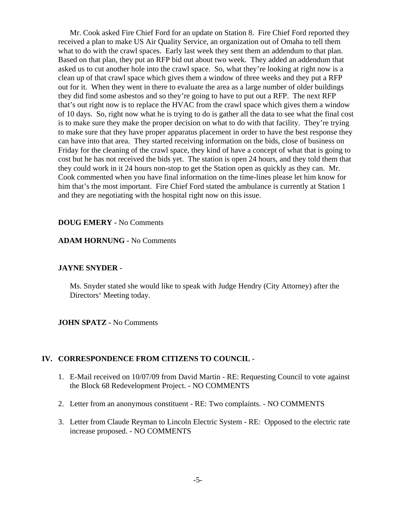Mr. Cook asked Fire Chief Ford for an update on Station 8. Fire Chief Ford reported they received a plan to make US Air Quality Service, an organization out of Omaha to tell them what to do with the crawl spaces. Early last week they sent them an addendum to that plan. Based on that plan, they put an RFP bid out about two week. They added an addendum that asked us to cut another hole into the crawl space. So, what they're looking at right now is a clean up of that crawl space which gives them a window of three weeks and they put a RFP out for it. When they went in there to evaluate the area as a large number of older buildings they did find some asbestos and so they're going to have to put out a RFP. The next RFP that's out right now is to replace the HVAC from the crawl space which gives them a window of 10 days. So, right now what he is trying to do is gather all the data to see what the final cost is to make sure they make the proper decision on what to do with that facility. They're trying to make sure that they have proper apparatus placement in order to have the best response they can have into that area. They started receiving information on the bids, close of business on Friday for the cleaning of the crawl space, they kind of have a concept of what that is going to cost but he has not received the bids yet. The station is open 24 hours, and they told them that they could work in it 24 hours non-stop to get the Station open as quickly as they can. Mr. Cook commented when you have final information on the time-lines please let him know for him that's the most important. Fire Chief Ford stated the ambulance is currently at Station 1 and they are negotiating with the hospital right now on this issue.

#### **DOUG EMERY -** No Comments

#### **ADAM HORNUNG -** No Comments

#### **JAYNE SNYDER -**

Ms. Snyder stated she would like to speak with Judge Hendry (City Attorney) after the Directors' Meeting today.

**JOHN SPATZ -** No Comments

#### **IV. CORRESPONDENCE FROM CITIZENS TO COUNCIL** -

- 1. E-Mail received on 10/07/09 from David Martin RE: Requesting Council to vote against the Block 68 Redevelopment Project. - NO COMMENTS
- 2. Letter from an anonymous constituent RE: Two complaints. NO COMMENTS
- 3. Letter from Claude Reyman to Lincoln Electric System RE: Opposed to the electric rate increase proposed. - NO COMMENTS